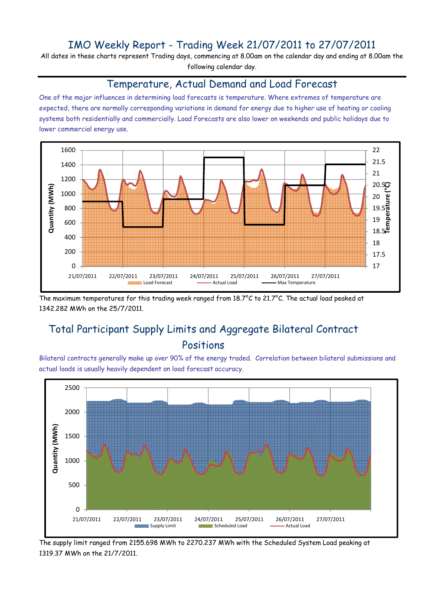# IMO Weekly Report - Trading Week 21/07/2011 to 27/07/2011

All dates in these charts represent Trading days, commencing at 8.00am on the calendar day and ending at 8.00am the following calendar day.

#### Temperature, Actual Demand and Load Forecast

One of the major influences in determining load forecasts is temperature. Where extremes of temperature are expected, there are normally corresponding variations in demand for energy due to higher use of heating or cooling systems both residentially and commercially. Load Forecasts are also lower on weekends and public holidays due to lower commercial energy use.



The maximum temperatures for this trading week ranged from 18.7°C to 21.7°C. The actual load peaked at 1342.282 MWh on the 25/7/2011.

# Total Participant Supply Limits and Aggregate Bilateral Contract Positions

Bilateral contracts generally make up over 90% of the energy traded. Correlation between bilateral submissions and actual loads is usually heavily dependent on load forecast accuracy.



The supply limit ranged from 2155.698 MWh to 2270.237 MWh with the Scheduled System Load peaking at 1319.37 MWh on the 21/7/2011.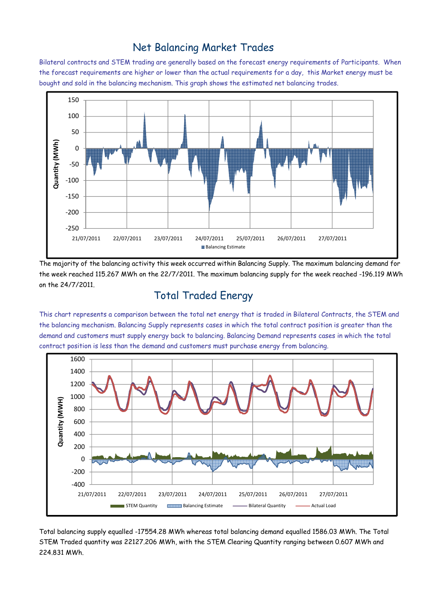### Net Balancing Market Trades

Bilateral contracts and STEM trading are generally based on the forecast energy requirements of Participants. When the forecast requirements are higher or lower than the actual requirements for a day, this Market energy must be bought and sold in the balancing mechanism. This graph shows the estimated net balancing trades.



The majority of the balancing activity this week occurred within Balancing Supply. The maximum balancing demand for the week reached 115.267 MWh on the 22/7/2011. The maximum balancing supply for the week reached -196.119 MWh on the 24/7/2011.

# Total Traded Energy

This chart represents a comparison between the total net energy that is traded in Bilateral Contracts, the STEM and the balancing mechanism. Balancing Supply represents cases in which the total contract position is greater than the demand and customers must supply energy back to balancing. Balancing Demand represents cases in which the total contract position is less than the demand and customers must purchase energy from balancing.



Total balancing supply equalled -17554.28 MWh whereas total balancing demand equalled 1586.03 MWh. The Total STEM Traded quantity was 22127.206 MWh, with the STEM Clearing Quantity ranging between 0.607 MWh and 224.831 MWh.